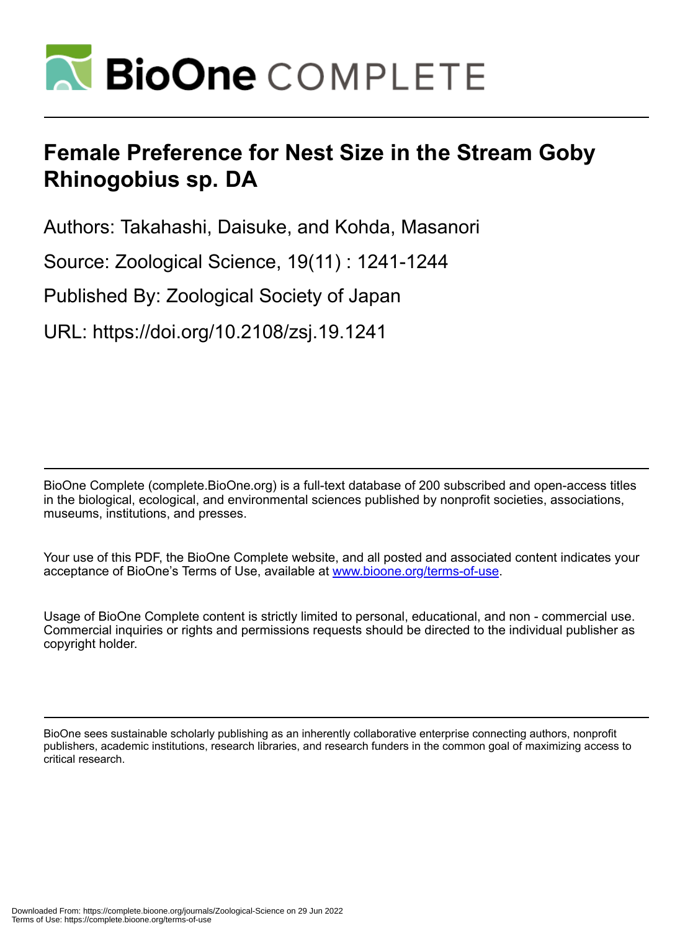

# **Female Preference for Nest Size in the Stream Goby Rhinogobius sp. DA**

Authors: Takahashi, Daisuke, and Kohda, Masanori

Source: Zoological Science, 19(11) : 1241-1244

Published By: Zoological Society of Japan

URL: https://doi.org/10.2108/zsj.19.1241

BioOne Complete (complete.BioOne.org) is a full-text database of 200 subscribed and open-access titles in the biological, ecological, and environmental sciences published by nonprofit societies, associations, museums, institutions, and presses.

Your use of this PDF, the BioOne Complete website, and all posted and associated content indicates your acceptance of BioOne's Terms of Use, available at www.bioone.org/terms-of-use.

Usage of BioOne Complete content is strictly limited to personal, educational, and non - commercial use. Commercial inquiries or rights and permissions requests should be directed to the individual publisher as copyright holder.

BioOne sees sustainable scholarly publishing as an inherently collaborative enterprise connecting authors, nonprofit publishers, academic institutions, research libraries, and research funders in the common goal of maximizing access to critical research.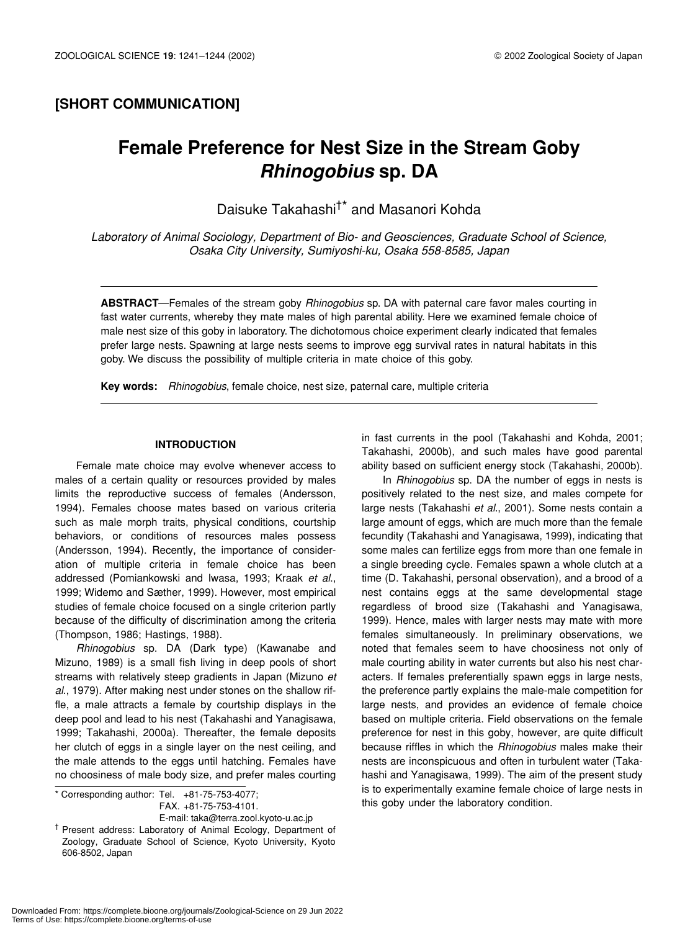### **[SHORT COMMUNICATION]**

## **Female Preference for Nest Size in the Stream Goby** *Rhinogobius* **sp. DA**

Daisuke Takahashi†\* and Masanori Kohda

*Laboratory of Animal Sociology, Department of Bio- and Geosciences, Graduate School of Science, Osaka City University, Sumiyoshi-ku, Osaka 558-8585, Japan*

**ABSTRACT**—Females of the stream goby *Rhinogobius* sp. DA with paternal care favor males courting in fast water currents, whereby they mate males of high parental ability. Here we examined female choice of male nest size of this goby in laboratory. The dichotomous choice experiment clearly indicated that females prefer large nests. Spawning at large nests seems to improve egg survival rates in natural habitats in this goby. We discuss the possibility of multiple criteria in mate choice of this goby.

**Key words:** *Rhinogobius*, female choice, nest size, paternal care, multiple criteria

#### **INTRODUCTION**

Female mate choice may evolve whenever access to males of a certain quality or resources provided by males limits the reproductive success of females (Andersson, 1994). Females choose mates based on various criteria such as male morph traits, physical conditions, courtship behaviors, or conditions of resources males possess (Andersson, 1994). Recently, the importance of consideration of multiple criteria in female choice has been addressed (Pomiankowski and Iwasa, 1993; Kraak *et al*., 1999; Widemo and Sæther, 1999). However, most empirical studies of female choice focused on a single criterion partly because of the difficulty of discrimination among the criteria (Thompson, 1986; Hastings, 1988).

*Rhinogobius* sp. DA (Dark type) (Kawanabe and Mizuno, 1989) is a small fish living in deep pools of short streams with relatively steep gradients in Japan (Mizuno *et al*., 1979). After making nest under stones on the shallow riffle, a male attracts a female by courtship displays in the deep pool and lead to his nest (Takahashi and Yanagisawa, 1999; Takahashi, 2000a). Thereafter, the female deposits her clutch of eggs in a single layer on the nest ceiling, and the male attends to the eggs until hatching. Females have no choosiness of male body size, and prefer males courting

FAX. +81-75-753-4101.

E-mail: taka@terra.zool.kyoto-u.ac.jp

in fast currents in the pool (Takahashi and Kohda, 2001; Takahashi, 2000b), and such males have good parental ability based on sufficient energy stock (Takahashi, 2000b).

In *Rhinogobius* sp. DA the number of eggs in nests is positively related to the nest size, and males compete for large nests (Takahashi *et al*., 2001). Some nests contain a large amount of eggs, which are much more than the female fecundity (Takahashi and Yanagisawa, 1999), indicating that some males can fertilize eggs from more than one female in a single breeding cycle. Females spawn a whole clutch at a time (D. Takahashi, personal observation), and a brood of a nest contains eggs at the same developmental stage regardless of brood size (Takahashi and Yanagisawa, 1999). Hence, males with larger nests may mate with more females simultaneously. In preliminary observations, we noted that females seem to have choosiness not only of male courting ability in water currents but also his nest characters. If females preferentially spawn eggs in large nests, the preference partly explains the male-male competition for large nests, and provides an evidence of female choice based on multiple criteria. Field observations on the female preference for nest in this goby, however, are quite difficult because riffles in which the *Rhinogobius* males make their nests are inconspicuous and often in turbulent water (Takahashi and Yanagisawa, 1999). The aim of the present study is to experimentally examine female choice of large nests in the labor of this goby under the laboratory condition.<br>.FAX +81-75-753-4101 this goby under the laboratory condition.

<sup>†</sup> Present address: Laboratory of Animal Ecology, Department of Zoology, Graduate School of Science, Kyoto University, Kyoto 606-8502, Japan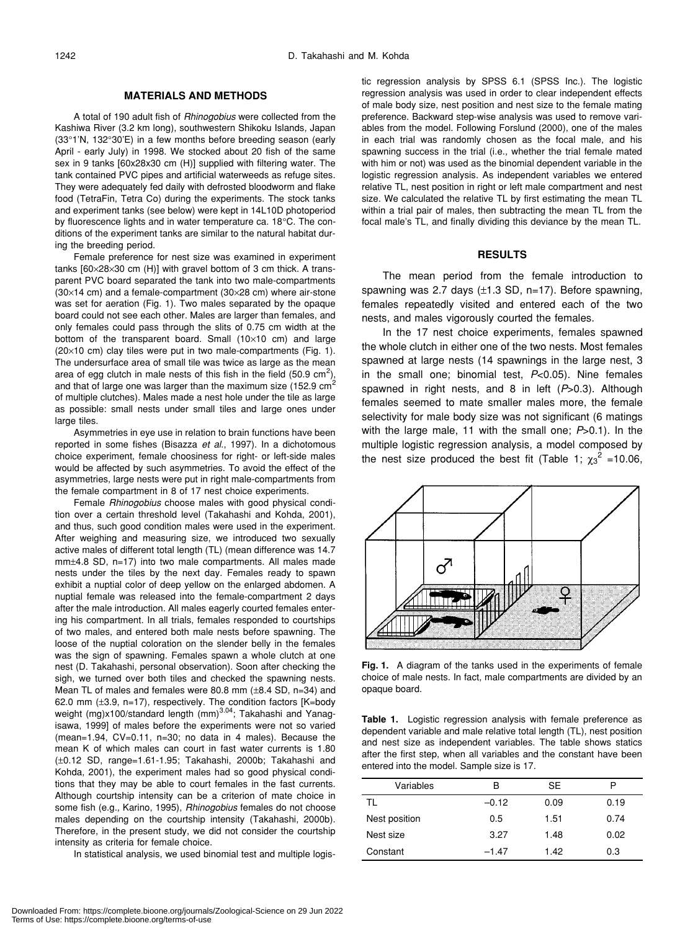#### **MATERIALS AND METHODS**

A total of 190 adult fish of *Rhinogobius* were collected from the Kashiwa River (3.2 km long), southwestern Shikoku Islands, Japan (33°1'N, 132°30'E) in a few months before breeding season (early April - early July) in 1998. We stocked about 20 fish of the same sex in 9 tanks [60x28x30 cm (H)] supplied with filtering water. The tank contained PVC pipes and artificial waterweeds as refuge sites. They were adequately fed daily with defrosted bloodworm and flake food (TetraFin, Tetra Co) during the experiments. The stock tanks and experiment tanks (see below) were kept in 14L10D photoperiod by fluorescence lights and in water temperature ca. 18°C. The conditions of the experiment tanks are similar to the natural habitat during the breeding period.

Female preference for nest size was examined in experiment tanks [60×28×30 cm (H)] with gravel bottom of 3 cm thick. A transparent PVC board separated the tank into two male-compartments (30×14 cm) and a female-compartment (30×28 cm) where air-stone was set for aeration (Fig. 1). Two males separated by the opaque board could not see each other. Males are larger than females, and only females could pass through the slits of 0.75 cm width at the bottom of the transparent board. Small (10×10 cm) and large (20×10 cm) clay tiles were put in two male-compartments (Fig. 1). The undersurface area of small tile was twice as large as the mean area of egg clutch in male nests of this fish in the field (50.9 cm<sup>2</sup>), and that of large one was larger than the maximum size (152.9  $cm<sup>2</sup>$ of multiple clutches). Males made a nest hole under the tile as large as possible: small nests under small tiles and large ones under large tiles.

Asymmetries in eye use in relation to brain functions have been reported in some fishes (Bisazza *et al*., 1997). In a dichotomous choice experiment, female choosiness for right- or left-side males would be affected by such asymmetries. To avoid the effect of the asymmetries, large nests were put in right male-compartments from the female compartment in 8 of 17 nest choice experiments.

Female *Rhinogobius* choose males with good physical condition over a certain threshold level (Takahashi and Kohda, 2001), and thus, such good condition males were used in the experiment. After weighing and measuring size, we introduced two sexually active males of different total length (TL) (mean difference was 14.7 mm±4.8 SD, n=17) into two male compartments. All males made nests under the tiles by the next day. Females ready to spawn exhibit a nuptial color of deep yellow on the enlarged abdomen. A nuptial female was released into the female-compartment 2 days after the male introduction. All males eagerly courted females entering his compartment. In all trials, females responded to courtships of two males, and entered both male nests before spawning. The loose of the nuptial coloration on the slender belly in the females was the sign of spawning. Females spawn a whole clutch at one nest (D. Takahashi, personal observation). Soon after checking the sigh, we turned over both tiles and checked the spawning nests. Mean TL of males and females were 80.8 mm (±8.4 SD, n=34) and 62.0 mm (±3.9, n=17), respectively. The condition factors [K=body weight (mg)x100/standard length (mm)<sup>3.04</sup>; Takahashi and Yanagisawa, 1999] of males before the experiments were not so varied (mean=1.94, CV=0.11, n=30; no data in 4 males). Because the mean K of which males can court in fast water currents is 1.80 (±0.12 SD, range=1.61-1.95; Takahashi, 2000b; Takahashi and Kohda, 2001), the experiment males had so good physical conditions that they may be able to court females in the fast currents. Although courtship intensity can be a criterion of mate choice in some fish (e.g., Karino, 1995), *Rhinogobius* females do not choose males depending on the courtship intensity (Takahashi, 2000b). Therefore, in the present study, we did not consider the courtship intensity as criteria for female choice.

In statistical analysis, we used binomial test and multiple logis-

tic regression analysis by SPSS 6.1 (SPSS Inc.). The logistic regression analysis was used in order to clear independent effects of male body size, nest position and nest size to the female mating preference. Backward step-wise analysis was used to remove variables from the model. Following Forslund (2000), one of the males in each trial was randomly chosen as the focal male, and his spawning success in the trial (i.e., whether the trial female mated with him or not) was used as the binomial dependent variable in the logistic regression analysis. As independent variables we entered relative TL, nest position in right or left male compartment and nest size. We calculated the relative TL by first estimating the mean TL within a trial pair of males, then subtracting the mean TL from the focal male's TL, and finally dividing this deviance by the mean TL.

#### **RESULTS**

The mean period from the female introduction to spawning was 2.7 days  $(\pm 1.3 \text{ SD}, \text{ n=17})$ . Before spawning, females repeatedly visited and entered each of the two nests, and males vigorously courted the females.

In the 17 nest choice experiments, females spawned the whole clutch in either one of the two nests. Most females spawned at large nests (14 spawnings in the large nest, 3 in the small one; binomial test, *P*<0.05). Nine females spawned in right nests, and 8 in left (*P*>0.3). Although females seemed to mate smaller males more, the female selectivity for male body size was not significant (6 matings with the large male, 11 with the small one; *P*>0.1). In the multiple logistic regression analysis, a model composed by the nest size produced the best fit (Table 1;  $\chi_3^2$  =10.06,



**Fig. 1.** A diagram of the tanks used in the experiments of female choice of male nests. In fact, male compartments are divided by an opaque board.

**Table 1.** Logistic regression analysis with female preference as dependent variable and male relative total length (TL), nest position and nest size as independent variables. The table shows statics after the first step, when all variables and the constant have been entered into the model. Sample size is 17.

| Variables     | в       | SE   | D    |
|---------------|---------|------|------|
| TL            | $-0.12$ | 0.09 | 0.19 |
| Nest position | 0.5     | 1.51 | 0.74 |
| Nest size     | 3.27    | 1.48 | 0.02 |
| Constant      | $-1.47$ | 1.42 | 0.3  |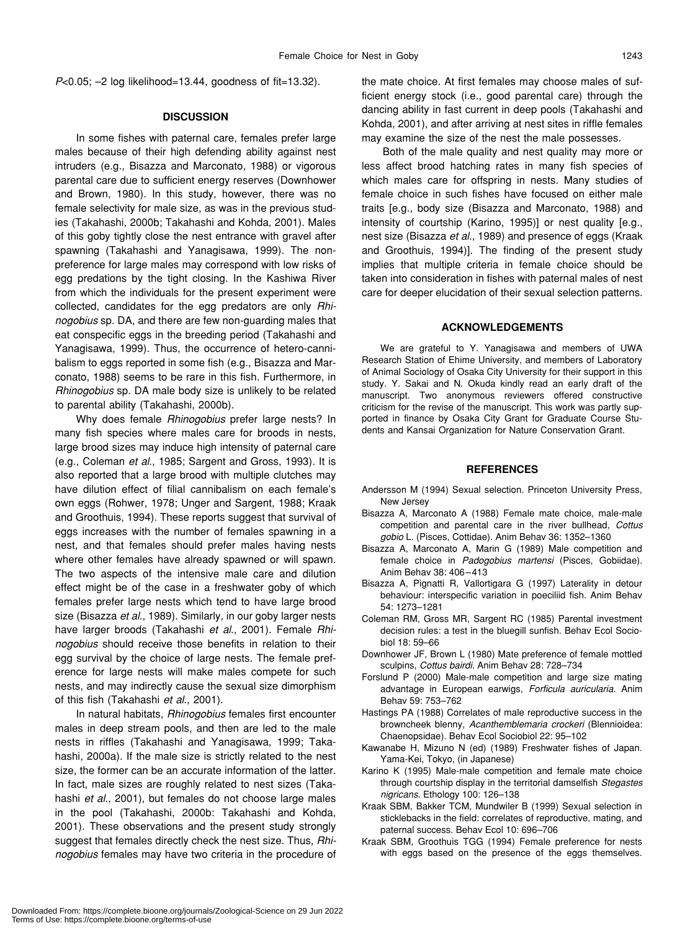*P*<0.05; –2 log likelihood=13.44, goodness of fit=13.32).

#### **DISCUSSION**

In some fishes with paternal care, females prefer large males because of their high defending ability against nest intruders (e.g., Bisazza and Marconato, 1988) or vigorous parental care due to sufficient energy reserves (Downhower and Brown, 1980). In this study, however, there was no female selectivity for male size, as was in the previous studies (Takahashi, 2000b; Takahashi and Kohda, 2001). Males of this goby tightly close the nest entrance with gravel after spawning (Takahashi and Yanagisawa, 1999). The nonpreference for large males may correspond with low risks of egg predations by the tight closing. In the Kashiwa River from which the individuals for the present experiment were collected, candidates for the egg predators are only *Rhinogobius* sp. DA, and there are few non-guarding males that eat conspecific eggs in the breeding period (Takahashi and Yanagisawa, 1999). Thus, the occurrence of hetero-cannibalism to eggs reported in some fish (e.g., Bisazza and Marconato, 1988) seems to be rare in this fish. Furthermore, in *Rhinogobius* sp. DA male body size is unlikely to be related to parental ability (Takahashi, 2000b).

Why does female *Rhinogobius* prefer large nests? In many fish species where males care for broods in nests, large brood sizes may induce high intensity of paternal care (e.g., Coleman *et al*., 1985; Sargent and Gross, 1993). It is also reported that a large brood with multiple clutches may have dilution effect of filial cannibalism on each female's own eggs (Rohwer, 1978; Unger and Sargent, 1988; Kraak and Groothuis, 1994). These reports suggest that survival of eggs increases with the number of females spawning in a nest, and that females should prefer males having nests where other females have already spawned or will spawn. The two aspects of the intensive male care and dilution effect might be of the case in a freshwater goby of which females prefer large nests which tend to have large brood size (Bisazza *et al*., 1989). Similarly, in our goby larger nests have larger broods (Takahashi *et al*., 2001). Female *Rhinogobius* should receive those benefits in relation to their egg survival by the choice of large nests. The female preference for large nests will make males compete for such nests, and may indirectly cause the sexual size dimorphism of this fish (Takahashi *et al*., 2001).

In natural habitats, *Rhinogobius* females first encounter males in deep stream pools, and then are led to the male nests in riffles (Takahashi and Yanagisawa, 1999; Takahashi, 2000a). If the male size is strictly related to the nest size, the former can be an accurate information of the latter. In fact, male sizes are roughly related to nest sizes (Takahashi *et al*., 2001), but females do not choose large males in the pool (Takahashi, 2000b: Takahashi and Kohda, 2001). These observations and the present study strongly suggest that females directly check the nest size. Thus, *Rhinogobius* females may have two criteria in the procedure of

the mate choice. At first females may choose males of sufficient energy stock (i.e., good parental care) through the dancing ability in fast current in deep pools (Takahashi and Kohda, 2001), and after arriving at nest sites in riffle females may examine the size of the nest the male possesses.

Both of the male quality and nest quality may more or less affect brood hatching rates in many fish species of which males care for offspring in nests. Many studies of female choice in such fishes have focused on either male traits [e.g., body size (Bisazza and Marconato, 1988) and intensity of courtship (Karino, 1995)] or nest quality [e.g., nest size (Bisazza *et al*., 1989) and presence of eggs (Kraak and Groothuis, 1994)]. The finding of the present study implies that multiple criteria in female choice should be taken into consideration in fishes with paternal males of nest care for deeper elucidation of their sexual selection patterns.

#### **ACKNOWLEDGEMENTS**

We are grateful to Y. Yanagisawa and members of UWA Research Station of Ehime University, and members of Laboratory of Animal Sociology of Osaka City University for their support in this study. Y. Sakai and N. Okuda kindly read an early draft of the manuscript. Two anonymous reviewers offered constructive criticism for the revise of the manuscript. This work was partly supported in finance by Osaka City Grant for Graduate Course Students and Kansai Organization for Nature Conservation Grant.

#### **REFERENCES**

- Andersson M (1994) Sexual selection. Princeton University Press, New Jersey
- Bisazza A, Marconato A (1988) Female mate choice, male-male competition and parental care in the river bullhead, *Cottus gobio* L. (Pisces, Cottidae). Anim Behav 36: 1352–1360
- Bisazza A, Marconato A, Marin G (1989) Male competition and female choice in *Padogobius martensi* (Pisces, Gobiidae). Anim Behav 38: 406–413
- Bisazza A, Pignatti R, Vallortigara G (1997) Laterality in detour behaviour: interspecific variation in poeciliid fish. Anim Behav 54: 1273–1281
- Coleman RM, Gross MR, Sargent RC (1985) Parental investment decision rules: a test in the bluegill sunfish. Behav Ecol Sociobiol 18: 59–66
- Downhower JF, Brown L (1980) Mate preference of female mottled sculpins, *Cottus bairdi*. Anim Behav 28: 728–734
- Forslund P (2000) Male-male competition and large size mating advantage in European earwigs, *Forficula auricularia*. Anim Behav 59: 753–762
- Hastings PA (1988) Correlates of male reproductive success in the browncheek blenny, *Acanthemblemaria crockeri* (Blennioidea: Chaenopsidae). Behav Ecol Sociobiol 22: 95–102
- Kawanabe H, Mizuno N (ed) (1989) Freshwater fishes of Japan. Yama-Kei, Tokyo, (in Japanese)
- Karino K (1995) Male-male competition and female mate choice through courtship display in the territorial damselfish *Stegastes nigricans*. Ethology 100: 126–138
- Kraak SBM, Bakker TCM, Mundwiler B (1999) Sexual selection in sticklebacks in the field: correlates of reproductive, mating, and paternal success. Behav Ecol 10: 696–706
- Kraak SBM, Groothuis TGG (1994) Female preference for nests with eggs based on the presence of the eggs themselves.